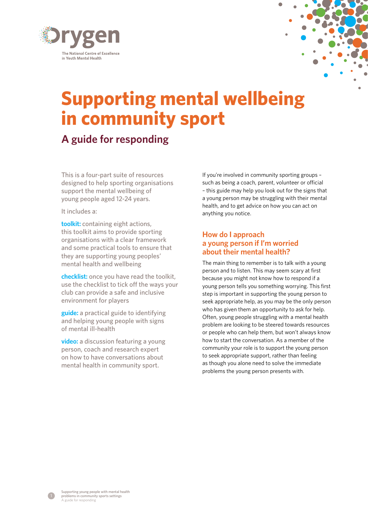

# **Supporting mental wellbeing in community sport**

# **A guide for responding**

This is a four-part suite of resources designed to help sporting organisations support the mental wellbeing of young people aged 12-24 years.

It includes a:

**[toolkit:](https://www.orygen.org.au/Education-Training/Resources-Training/Resources/Free/Toolkits/Supporting-mental-wellbeing-in-community-sport)** containing eight actions, this toolkit aims to provide sporting organisations with a clear framework and some practical tools to ensure that they are supporting young peoples' mental health and wellbeing

**[checklist:](https://www.orygen.org.au/Education-Training/Resources-Training/Resources/Free/Toolkits/Supporting-mental-wellbeing-in-community-sport)** once you have read the toolkit, use the checklist to tick off the ways your club can provide a safe and inclusive environment for players

**[guide:](https://www.orygen.org.au/Education-Training/Resources-Training/Resources/Free/Toolkits/Supporting-mental-wellbeing-in-community-sport)** a practical guide to identifying and helping young people with signs of mental ill-health

**[video:](https://www.orygen.org.au/Education-Training/Resources-Training/Resources/Free/Toolkits/Supporting-mental-wellbeing-in-community-sport)** a discussion featuring a young person, coach and research expert on how to have conversations about mental health in community sport.

If you're involved in community sporting groups – such as being a coach, parent, volunteer or official – this guide may help you look out for the signs that a young person may be struggling with their mental health, and to get advice on how you can act on anything you notice.

### **How do I approach a young person if I'm worried about their mental health?**

The main thing to remember is to talk with a young person and to listen. This may seem scary at first because you might not know how to respond if a young person tells you something worrying. This first step is important in supporting the young person to seek appropriate help, as you may be the only person who has given them an opportunity to ask for help. Often, young people struggling with a mental health problem are looking to be steered towards resources or people who can help them, but won't always know how to start the conversation. As a member of the community your role is to support the young person to seek appropriate support, rather than feeling as though you alone need to solve the immediate problems the young person presents with.

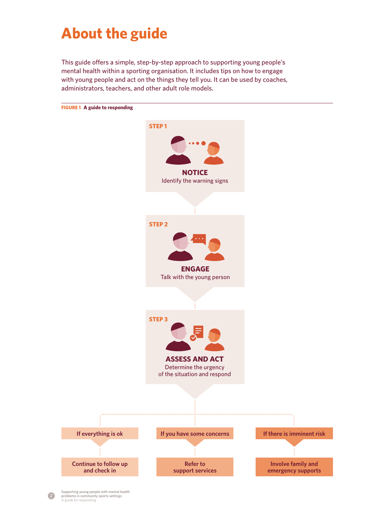# **About the guide**

This guide offers a simple, step-by-step approach to supporting young people's mental health within a sporting organisation. It includes tips on how to engage with young people and act on the things they tell you. It can be used by coaches, administrators, teachers, and other adult role models.



2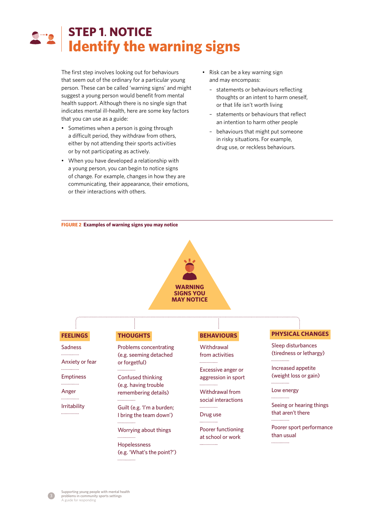# **STEP 1**. **NOTICE Identify the warning signs**

The first step involves looking out for behaviours that seem out of the ordinary for a particular young person. These can be called 'warning signs' and might suggest a young person would benefit from mental health support. Although there is no single sign that indicates mental ill-health, here are some key factors that you can use as a guide:

- Sometimes when a person is going through a difficult period, they withdraw from others, either by not attending their sports activities or by not participating as actively.
- When you have developed a relationship with a young person, you can begin to notice signs of change. For example, changes in how they are communicating, their appearance, their emotions, or their interactions with others.
- Risk can be a key warning sign and may encompass:
	- statements or behaviours reflecting thoughts or an intent to harm oneself, or that life isn't worth living
- statements or behaviours that reflect an intention to harm other people
- behaviours that might put someone in risky situations. For example, drug use, or reckless behaviours.

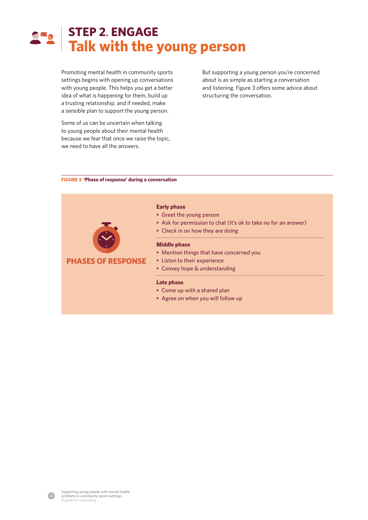# **STEP 2**. **ENGAGE Talk with the young person**

Promoting mental health in community sports settings begins with opening up conversations with young people. This helps you get a better idea of what is happening for them, build up a trusting relationship, and if needed, make a sensible plan to support the young person.

Some of us can be uncertain when talking to young people about their mental health because we fear that once we raise the topic, we need to have all the answers.

But supporting a young person you're concerned about is as simple as starting a conversation and listening. Figure 3 offers some advice about structuring the conversation.

### **FIGURE 3 'Phase of response' during a conversation**



4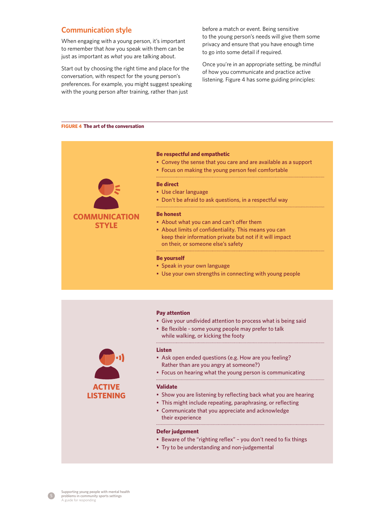### **Communication style**

When engaging with a young person, it's important to remember that *how* you speak with them can be just as important as *what* you are talking about.

Start out by choosing the right time and place for the conversation, with respect for the young person's preferences. For example, you might suggest speaking with the young person after training, rather than just

before a match or event. Being sensitive to the young person's needs will give them some privacy and ensure that you have enough time to go into some detail if required.

Once you're in an appropriate setting, be mindful of how you communicate and practice active listening. Figure 4 has some guiding principles:

#### **FIGURE 4 The art of the conversation**



#### **Be respectful and empathetic**

- Convey the sense that you care and are available as a support
- Focus on making the young person feel comfortable

#### **Be direct**

- Use clear language
- Don't be afraid to ask questions, in a respectful way

#### **Be honest**

- About what you can and can't offer them
- About limits of confidentiality. This means you can keep their information private but not if it will impact on their, or someone else's safety

#### **Be yourself**

- Speak in your own language
- Use your own strengths in connecting with young people



#### **Pay attention**

• Give your undivided attention to process what is being said

• Be flexible - some young people may prefer to talk while walking, or kicking the footy

#### **Listen**

- Ask open ended questions (e.g. How are you feeling? Rather than are you angry at someone?)
- Focus on hearing what the young person is communicating

#### **Validate**

- Show you are listening by reflecting back what you are hearing
- This might include repeating, paraphrasing, or reflecting
- Communicate that you appreciate and acknowledge their experience

#### **Defer judgement**

- Beware of the "righting reflex" you don't need to fix things
- Try to be understanding and non-judgemental

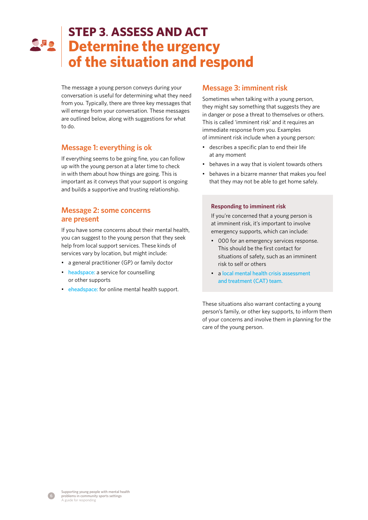# **STEP 3**. **ASSESS AND ACT Determine the urgency of the situation and respond**

The message a young person conveys during your conversation is useful for determining what they need from you. Typically, there are three key messages that will emerge from your conversation. These messages are outlined below, along with suggestions for what to do.

## **Message 1: everything is ok**

If everything seems to be going fine, you can follow up with the young person at a later time to check in with them about how things are going. This is important as it conveys that your support is ongoing and builds a supportive and trusting relationship.

### **Message 2: some concerns are present**

If you have some concerns about their mental health, you can suggest to the young person that they seek help from local support services. These kinds of services vary by location, but might include:

- a general practitioner (GP) or family doctor
- [headspace](https://headspace.org.au/): a service for counselling or other supports
- [eheadspace:](https://headspace.org.au/eheadspace/) for online mental health support.

### **Message 3: imminent risk**

Sometimes when talking with a young person, they might say something that suggests they are in danger or pose a threat to themselves or others. This is called 'imminent risk' and it requires an immediate response from you. Examples of imminent risk include when a young person:

- describes a specific plan to end their life at any moment
- behaves in a way that is violent towards others
- behaves in a bizarre manner that makes you feel that they may not be able to get home safely.

### **Responding to imminent risk**

If you're concerned that a young person is at imminent risk, it's important to involve emergency supports, which can include:

- 000 for an emergency services response. This should be the first contact for situations of safety, such as an imminent risk to self or others
- a [local mental health crisis assessment](https://www.healthdirect.gov.au/crisis-management)  [and treatment \(CAT\) team](https://www.healthdirect.gov.au/crisis-management).

These situations also warrant contacting a young person's family, or other key supports, to inform them of your concerns and involve them in planning for the care of the young person.